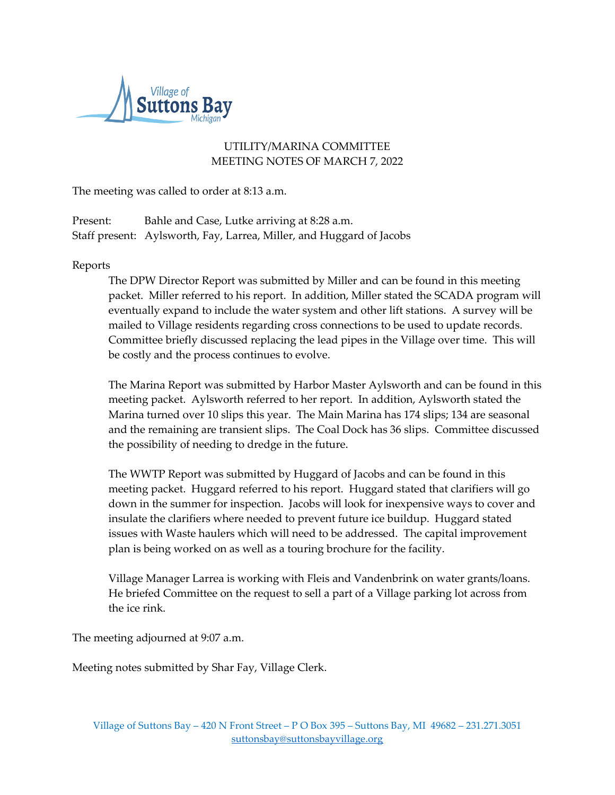

## UTILITY/MARINA COMMITTEE MEETING NOTES OF MARCH 7, 2022

The meeting was called to order at 8:13 a.m.

Present: Bahle and Case, Lutke arriving at 8:28 a.m. Staff present: Aylsworth, Fay, Larrea, Miller, and Huggard of Jacobs

## Reports

The DPW Director Report was submitted by Miller and can be found in this meeting packet. Miller referred to his report. In addition, Miller stated the SCADA program will eventually expand to include the water system and other lift stations. A survey will be mailed to Village residents regarding cross connections to be used to update records. Committee briefly discussed replacing the lead pipes in the Village over time. This will be costly and the process continues to evolve.

The Marina Report was submitted by Harbor Master Aylsworth and can be found in this meeting packet. Aylsworth referred to her report. In addition, Aylsworth stated the Marina turned over 10 slips this year. The Main Marina has 174 slips; 134 are seasonal and the remaining are transient slips. The Coal Dock has 36 slips. Committee discussed the possibility of needing to dredge in the future.

The WWTP Report was submitted by Huggard of Jacobs and can be found in this meeting packet. Huggard referred to his report. Huggard stated that clarifiers will go down in the summer for inspection. Jacobs will look for inexpensive ways to cover and insulate the clarifiers where needed to prevent future ice buildup. Huggard stated issues with Waste haulers which will need to be addressed. The capital improvement plan is being worked on as well as a touring brochure for the facility.

Village Manager Larrea is working with Fleis and Vandenbrink on water grants/loans. He briefed Committee on the request to sell a part of a Village parking lot across from the ice rink.

The meeting adjourned at 9:07 a.m.

Meeting notes submitted by Shar Fay, Village Clerk.